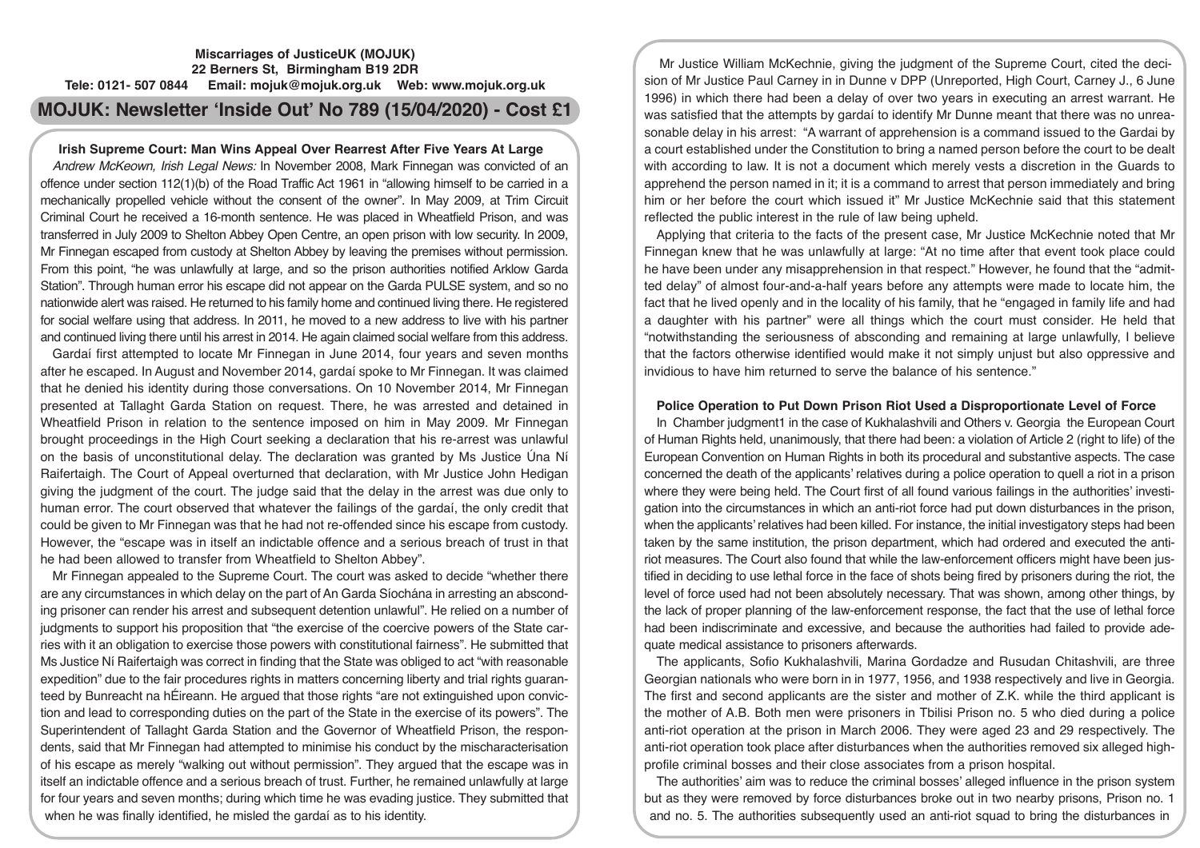## **Miscarriages of JusticeUK (MOJUK) 22 Berners St, Birmingham B19 2DR Tele: 0121- 507 0844 Email: mojuk@mojuk.org.uk Web: www.mojuk.org.uk**

# **MOJUK: Newsletter 'Inside Out' No 789 (15/04/2020) - Cost £1**

## **Irish Supreme Court: Man Wins Appeal Over Rearrest After Five Years At Large**

*Andrew McKeown, Irish Legal News:* In November 2008, Mark Finnegan was convicted of an offence under section 112(1)(b) of the Road Traffic Act 1961 in "allowing himself to be carried in a mechanically propelled vehicle without the consent of the owner". In May 2009, at Trim Circuit Criminal Court he received a 16-month sentence. He was placed in Wheatfield Prison, and was transferred in July 2009 to Shelton Abbey Open Centre, an open prison with low security. In 2009, Mr Finnegan escaped from custody at Shelton Abbey by leaving the premises without permission. From this point, "he was unlawfully at large, and so the prison authorities notified Arklow Garda Station". Through human error his escape did not appear on the Garda PULSE system, and so no nationwide alert was raised. He returned to his family home and continued living there. He registered for social welfare using that address. In 2011, he moved to a new address to live with his partner and continued living there until his arrest in 2014. He again claimed social welfare from this address.

Gardaí first attempted to locate Mr Finnegan in June 2014, four years and seven months after he escaped. In August and November 2014, gardaí spoke to Mr Finnegan. It was claimed that he denied his identity during those conversations. On 10 November 2014, Mr Finnegan presented at Tallaght Garda Station on request. There, he was arrested and detained in Wheatfield Prison in relation to the sentence imposed on him in May 2009. Mr Finnegan brought proceedings in the High Court seeking a declaration that his re-arrest was unlawful on the basis of unconstitutional delay. The declaration was granted by Ms Justice Úna Ní Raifertaigh. The Court of Appeal overturned that declaration, with Mr Justice John Hedigan giving the judgment of the court. The judge said that the delay in the arrest was due only to human error. The court observed that whatever the failings of the gardaí, the only credit that could be given to Mr Finnegan was that he had not re-offended since his escape from custody. However, the "escape was in itself an indictable offence and a serious breach of trust in that he had been allowed to transfer from Wheatfield to Shelton Abbey".

Mr Finnegan appealed to the Supreme Court. The court was asked to decide "whether there are any circumstances in which delay on the part of An Garda Síochána in arresting an absconding prisoner can render his arrest and subsequent detention unlawful". He relied on a number of judgments to support his proposition that "the exercise of the coercive powers of the State carries with it an obligation to exercise those powers with constitutional fairness". He submitted that Ms Justice Ní Raifertaigh was correct in finding that the State was obliged to act "with reasonable expedition" due to the fair procedures rights in matters concerning liberty and trial rights guaranteed by Bunreacht na hÉireann. He argued that those rights "are not extinguished upon conviction and lead to corresponding duties on the part of the State in the exercise of its powers". The Superintendent of Tallaght Garda Station and the Governor of Wheatfield Prison, the respondents, said that Mr Finnegan had attempted to minimise his conduct by the mischaracterisation of his escape as merely "walking out without permission". They argued that the escape was in itself an indictable offence and a serious breach of trust. Further, he remained unlawfully at large for four years and seven months; during which time he was evading justice. They submitted that when he was finally identified, he misled the gardaí as to his identity.

Mr Justice William McKechnie, giving the judgment of the Supreme Court, cited the decision of Mr Justice Paul Carney in in Dunne v DPP (Unreported, High Court, Carney J., 6 June 1996) in which there had been a delay of over two years in executing an arrest warrant. He was satisfied that the attempts by gardaí to identify Mr Dunne meant that there was no unreasonable delay in his arrest: "A warrant of apprehension is a command issued to the Gardai by a court established under the Constitution to bring a named person before the court to be dealt with according to law. It is not a document which merely vests a discretion in the Guards to apprehend the person named in it; it is a command to arrest that person immediately and bring him or her before the court which issued it" Mr Justice McKechnie said that this statement reflected the public interest in the rule of law being upheld.

Applying that criteria to the facts of the present case, Mr Justice McKechnie noted that Mr Finnegan knew that he was unlawfully at large: "At no time after that event took place could he have been under any misapprehension in that respect." However, he found that the "admitted delay" of almost four-and-a-half years before any attempts were made to locate him, the fact that he lived openly and in the locality of his family, that he "engaged in family life and had a daughter with his partner" were all things which the court must consider. He held that "notwithstanding the seriousness of absconding and remaining at large unlawfully, I believe that the factors otherwise identified would make it not simply unjust but also oppressive and invidious to have him returned to serve the balance of his sentence."

### **Police Operation to Put Down Prison Riot Used a Disproportionate Level of Force**

In Chamber judgment1 in the case of Kukhalashvili and Others v. Georgia the European Court of Human Rights held, unanimously, that there had been: a violation of Article 2 (right to life) of the European Convention on Human Rights in both its procedural and substantive aspects. The case concerned the death of the applicants' relatives during a police operation to quell a riot in a prison where they were being held. The Court first of all found various failings in the authorities' investigation into the circumstances in which an anti-riot force had put down disturbances in the prison, when the applicants' relatives had been killed. For instance, the initial investigatory steps had been taken by the same institution, the prison department, which had ordered and executed the antiriot measures. The Court also found that while the law-enforcement officers might have been justified in deciding to use lethal force in the face of shots being fired by prisoners during the riot, the level of force used had not been absolutely necessary. That was shown, among other things, by the lack of proper planning of the law-enforcement response, the fact that the use of lethal force had been indiscriminate and excessive, and because the authorities had failed to provide adequate medical assistance to prisoners afterwards.

The applicants, Sofio Kukhalashvili, Marina Gordadze and Rusudan Chitashvili, are three Georgian nationals who were born in in 1977, 1956, and 1938 respectively and live in Georgia. The first and second applicants are the sister and mother of Z.K. while the third applicant is the mother of A.B. Both men were prisoners in Tbilisi Prison no. 5 who died during a police anti-riot operation at the prison in March 2006. They were aged 23 and 29 respectively. The anti-riot operation took place after disturbances when the authorities removed six alleged highprofile criminal bosses and their close associates from a prison hospital.

The authorities' aim was to reduce the criminal bosses' alleged influence in the prison system but as they were removed by force disturbances broke out in two nearby prisons, Prison no. 1 and no. 5. The authorities subsequently used an anti-riot squad to bring the disturbances in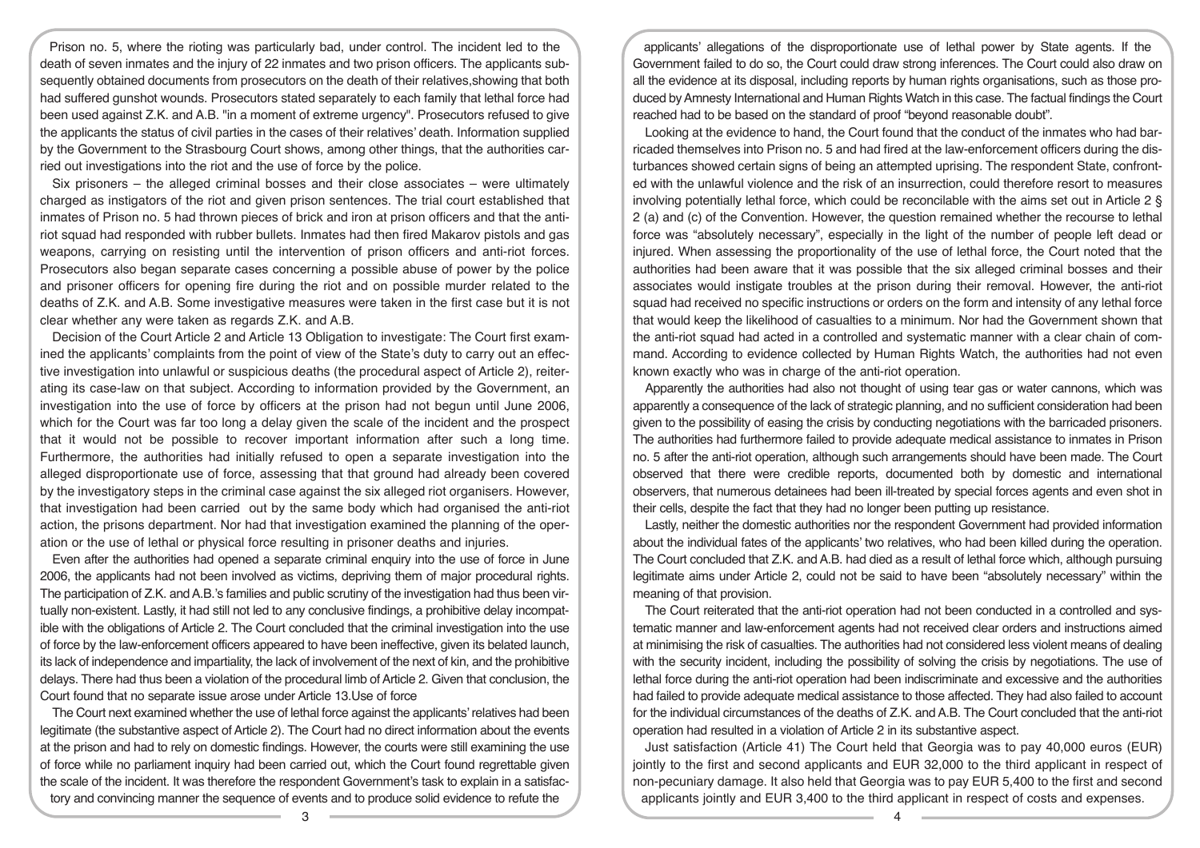Prison no. 5, where the rioting was particularly bad, under control. The incident led to the death of seven inmates and the injury of 22 inmates and two prison officers. The applicants subsequently obtained documents from prosecutors on the death of their relatives,showing that both had suffered gunshot wounds. Prosecutors stated separately to each family that lethal force had been used against Z.K. and A.B. "in a moment of extreme urgency". Prosecutors refused to give the applicants the status of civil parties in the cases of their relatives' death. Information supplied by the Government to the Strasbourg Court shows, among other things, that the authorities carried out investigations into the riot and the use of force by the police.

Six prisoners – the alleged criminal bosses and their close associates – were ultimately charged as instigators of the riot and given prison sentences. The trial court established that inmates of Prison no. 5 had thrown pieces of brick and iron at prison officers and that the antiriot squad had responded with rubber bullets. Inmates had then fired Makarov pistols and gas weapons, carrying on resisting until the intervention of prison officers and anti-riot forces. Prosecutors also began separate cases concerning a possible abuse of power by the police and prisoner officers for opening fire during the riot and on possible murder related to the deaths of Z.K. and A.B. Some investigative measures were taken in the first case but it is not clear whether any were taken as regards Z.K. and A.B.

Decision of the Court Article 2 and Article 13 Obligation to investigate: The Court first examined the applicants' complaints from the point of view of the State's duty to carry out an effective investigation into unlawful or suspicious deaths (the procedural aspect of Article 2), reiterating its case-law on that subject. According to information provided by the Government, an investigation into the use of force by officers at the prison had not begun until June 2006, which for the Court was far too long a delay given the scale of the incident and the prospect that it would not be possible to recover important information after such a long time. Furthermore, the authorities had initially refused to open a separate investigation into the alleged disproportionate use of force, assessing that that ground had already been covered by the investigatory steps in the criminal case against the six alleged riot organisers. However, that investigation had been carried out by the same body which had organised the anti-riot action, the prisons department. Nor had that investigation examined the planning of the operation or the use of lethal or physical force resulting in prisoner deaths and injuries.

Even after the authorities had opened a separate criminal enquiry into the use of force in June 2006, the applicants had not been involved as victims, depriving them of major procedural rights. The participation of Z.K. and A.B.'s families and public scrutiny of the investigation had thus been virtually non-existent. Lastly, it had still not led to any conclusive findings, a prohibitive delay incompatible with the obligations of Article 2. The Court concluded that the criminal investigation into the use of force by the law-enforcement officers appeared to have been ineffective, given its belated launch, its lack of independence and impartiality, the lack of involvement of the next of kin, and the prohibitive delays. There had thus been a violation of the procedural limb of Article 2. Given that conclusion, the Court found that no separate issue arose under Article 13.Use of force

The Court next examined whether the use of lethal force against the applicants' relatives had been legitimate (the substantive aspect of Article 2). The Court had no direct information about the events at the prison and had to rely on domestic findings. However, the courts were still examining the use of force while no parliament inquiry had been carried out, which the Court found regrettable given the scale of the incident. It was therefore the respondent Government's task to explain in a satisfactory and convincing manner the sequence of events and to produce solid evidence to refute the

applicants' allegations of the disproportionate use of lethal power by State agents. If the Government failed to do so, the Court could draw strong inferences. The Court could also draw on all the evidence at its disposal, including reports by human rights organisations, such as those produced by Amnesty International and Human Rights Watch in this case. The factual findings the Court reached had to be based on the standard of proof "beyond reasonable doubt".

Looking at the evidence to hand, the Court found that the conduct of the inmates who had barricaded themselves into Prison no. 5 and had fired at the law-enforcement officers during the disturbances showed certain signs of being an attempted uprising. The respondent State, confronted with the unlawful violence and the risk of an insurrection, could therefore resort to measures involving potentially lethal force, which could be reconcilable with the aims set out in Article 2 § 2 (a) and (c) of the Convention. However, the question remained whether the recourse to lethal force was "absolutely necessary", especially in the light of the number of people left dead or injured. When assessing the proportionality of the use of lethal force, the Court noted that the authorities had been aware that it was possible that the six alleged criminal bosses and their associates would instigate troubles at the prison during their removal. However, the anti-riot squad had received no specific instructions or orders on the form and intensity of any lethal force that would keep the likelihood of casualties to a minimum. Nor had the Government shown that the anti-riot squad had acted in a controlled and systematic manner with a clear chain of command. According to evidence collected by Human Rights Watch, the authorities had not even known exactly who was in charge of the anti-riot operation.

Apparently the authorities had also not thought of using tear gas or water cannons, which was apparently a consequence of the lack of strategic planning, and no sufficient consideration had been given to the possibility of easing the crisis by conducting negotiations with the barricaded prisoners. The authorities had furthermore failed to provide adequate medical assistance to inmates in Prison no. 5 after the anti-riot operation, although such arrangements should have been made. The Court observed that there were credible reports, documented both by domestic and international observers, that numerous detainees had been ill-treated by special forces agents and even shot in their cells, despite the fact that they had no longer been putting up resistance.

Lastly, neither the domestic authorities nor the respondent Government had provided information about the individual fates of the applicants' two relatives, who had been killed during the operation. The Court concluded that Z.K. and A.B. had died as a result of lethal force which, although pursuing legitimate aims under Article 2, could not be said to have been "absolutely necessary" within the meaning of that provision.

The Court reiterated that the anti-riot operation had not been conducted in a controlled and systematic manner and law-enforcement agents had not received clear orders and instructions aimed at minimising the risk of casualties. The authorities had not considered less violent means of dealing with the security incident, including the possibility of solving the crisis by negotiations. The use of lethal force during the anti-riot operation had been indiscriminate and excessive and the authorities had failed to provide adequate medical assistance to those affected. They had also failed to account for the individual circumstances of the deaths of Z.K. and A.B. The Court concluded that the anti-riot operation had resulted in a violation of Article 2 in its substantive aspect.

Just satisfaction (Article 41) The Court held that Georgia was to pay 40,000 euros (EUR) jointly to the first and second applicants and EUR 32,000 to the third applicant in respect of non-pecuniary damage. It also held that Georgia was to pay EUR 5,400 to the first and second applicants jointly and EUR 3,400 to the third applicant in respect of costs and expenses.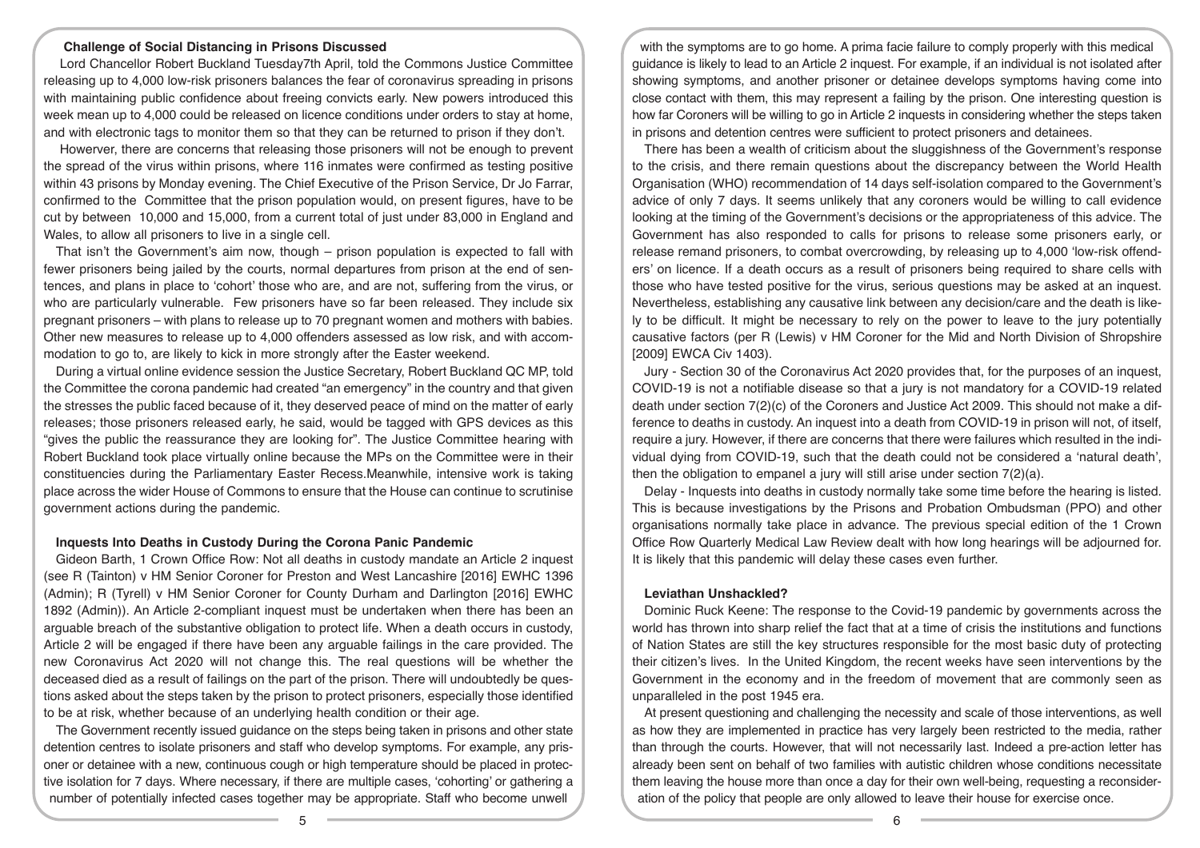#### **Challenge of Social Distancing in Prisons Discussed**

 Lord Chancellor Robert Buckland Tuesday7th April, told the Commons Justice Committee releasing up to 4,000 low-risk prisoners balances the fear of coronavirus spreading in prisons with maintaining public confidence about freeing convicts early. New powers introduced this week mean up to 4,000 could be released on licence conditions under orders to stay at home, and with electronic tags to monitor them so that they can be returned to prison if they don't.

 Howerver, there are concerns that releasing those prisoners will not be enough to prevent the spread of the virus within prisons, where 116 inmates were confirmed as testing positive within 43 prisons by Monday evening. The Chief Executive of the Prison Service, Dr Jo Farrar, confirmed to the Committee that the prison population would, on present figures, have to be cut by between 10,000 and 15,000, from a current total of just under 83,000 in England and Wales, to allow all prisoners to live in a single cell.

That isn't the Government's aim now, though – prison population is expected to fall with fewer prisoners being jailed by the courts, normal departures from prison at the end of sentences, and plans in place to 'cohort' those who are, and are not, suffering from the virus, or who are particularly vulnerable. Few prisoners have so far been released. They include six pregnant prisoners – with plans to release up to 70 pregnant women and mothers with babies. Other new measures to release up to 4,000 offenders assessed as low risk, and with accommodation to go to, are likely to kick in more strongly after the Easter weekend.

During a virtual online evidence session the Justice Secretary, Robert Buckland QC MP, told the Committee the corona pandemic had created "an emergency" in the country and that given the stresses the public faced because of it, they deserved peace of mind on the matter of early releases; those prisoners released early, he said, would be tagged with GPS devices as this "gives the public the reassurance they are looking for". The Justice Committee hearing with Robert Buckland took place virtually online because the MPs on the Committee were in their constituencies during the Parliamentary Easter Recess.Meanwhile, intensive work is taking place across the wider House of Commons to ensure that the House can continue to scrutinise government actions during the pandemic.

#### **Inquests Into Deaths in Custody During the Corona Panic Pandemic**

Gideon Barth, 1 Crown Office Row: Not all deaths in custody mandate an Article 2 inquest (see R (Tainton) v HM Senior Coroner for Preston and West Lancashire [2016] EWHC 1396 (Admin); R (Tyrell) v HM Senior Coroner for County Durham and Darlington [2016] EWHC 1892 (Admin)). An Article 2-compliant inquest must be undertaken when there has been an arguable breach of the substantive obligation to protect life. When a death occurs in custody, Article 2 will be engaged if there have been any arguable failings in the care provided. The new Coronavirus Act 2020 will not change this. The real questions will be whether the deceased died as a result of failings on the part of the prison. There will undoubtedly be questions asked about the steps taken by the prison to protect prisoners, especially those identified to be at risk, whether because of an underlying health condition or their age.

The Government recently issued guidance on the steps being taken in prisons and other state detention centres to isolate prisoners and staff who develop symptoms. For example, any prisoner or detainee with a new, continuous cough or high temperature should be placed in protective isolation for 7 days. Where necessary, if there are multiple cases, 'cohorting' or gathering a number of potentially infected cases together may be appropriate. Staff who become unwell

with the symptoms are to go home. A prima facie failure to comply properly with this medical guidance is likely to lead to an Article 2 inquest. For example, if an individual is not isolated after showing symptoms, and another prisoner or detainee develops symptoms having come into close contact with them, this may represent a failing by the prison. One interesting question is how far Coroners will be willing to go in Article 2 inquests in considering whether the steps taken in prisons and detention centres were sufficient to protect prisoners and detainees.

There has been a wealth of criticism about the sluggishness of the Government's response to the crisis, and there remain questions about the discrepancy between the World Health Organisation (WHO) recommendation of 14 days self-isolation compared to the Government's advice of only 7 days. It seems unlikely that any coroners would be willing to call evidence looking at the timing of the Government's decisions or the appropriateness of this advice. The Government has also responded to calls for prisons to release some prisoners early, or release remand prisoners, to combat overcrowding, by releasing up to 4,000 'low-risk offenders' on licence. If a death occurs as a result of prisoners being required to share cells with those who have tested positive for the virus, serious questions may be asked at an inquest. Nevertheless, establishing any causative link between any decision/care and the death is likely to be difficult. It might be necessary to rely on the power to leave to the jury potentially causative factors (per R (Lewis) v HM Coroner for the Mid and North Division of Shropshire [2009] EWCA Civ 1403).

Jury - Section 30 of the Coronavirus Act 2020 provides that, for the purposes of an inquest, COVID-19 is not a notifiable disease so that a jury is not mandatory for a COVID-19 related death under section 7(2)(c) of the Coroners and Justice Act 2009. This should not make a difference to deaths in custody. An inquest into a death from COVID-19 in prison will not, of itself, require a jury. However, if there are concerns that there were failures which resulted in the individual dying from COVID-19, such that the death could not be considered a 'natural death', then the obligation to empanel a jury will still arise under section 7(2)(a).

Delay - Inquests into deaths in custody normally take some time before the hearing is listed. This is because investigations by the Prisons and Probation Ombudsman (PPO) and other organisations normally take place in advance. The previous special edition of the 1 Crown Office Row Quarterly Medical Law Review dealt with how long hearings will be adjourned for. It is likely that this pandemic will delay these cases even further.

#### **Leviathan Unshackled?**

Dominic Ruck Keene: The response to the Covid-19 pandemic by governments across the world has thrown into sharp relief the fact that at a time of crisis the institutions and functions of Nation States are still the key structures responsible for the most basic duty of protecting their citizen's lives. In the United Kingdom, the recent weeks have seen interventions by the Government in the economy and in the freedom of movement that are commonly seen as unparalleled in the post 1945 era.

At present questioning and challenging the necessity and scale of those interventions, as well as how they are implemented in practice has very largely been restricted to the media, rather than through the courts. However, that will not necessarily last. Indeed a pre-action letter has already been sent on behalf of two families with autistic children whose conditions necessitate them leaving the house more than once a day for their own well-being, requesting a reconsideration of the policy that people are only allowed to leave their house for exercise once.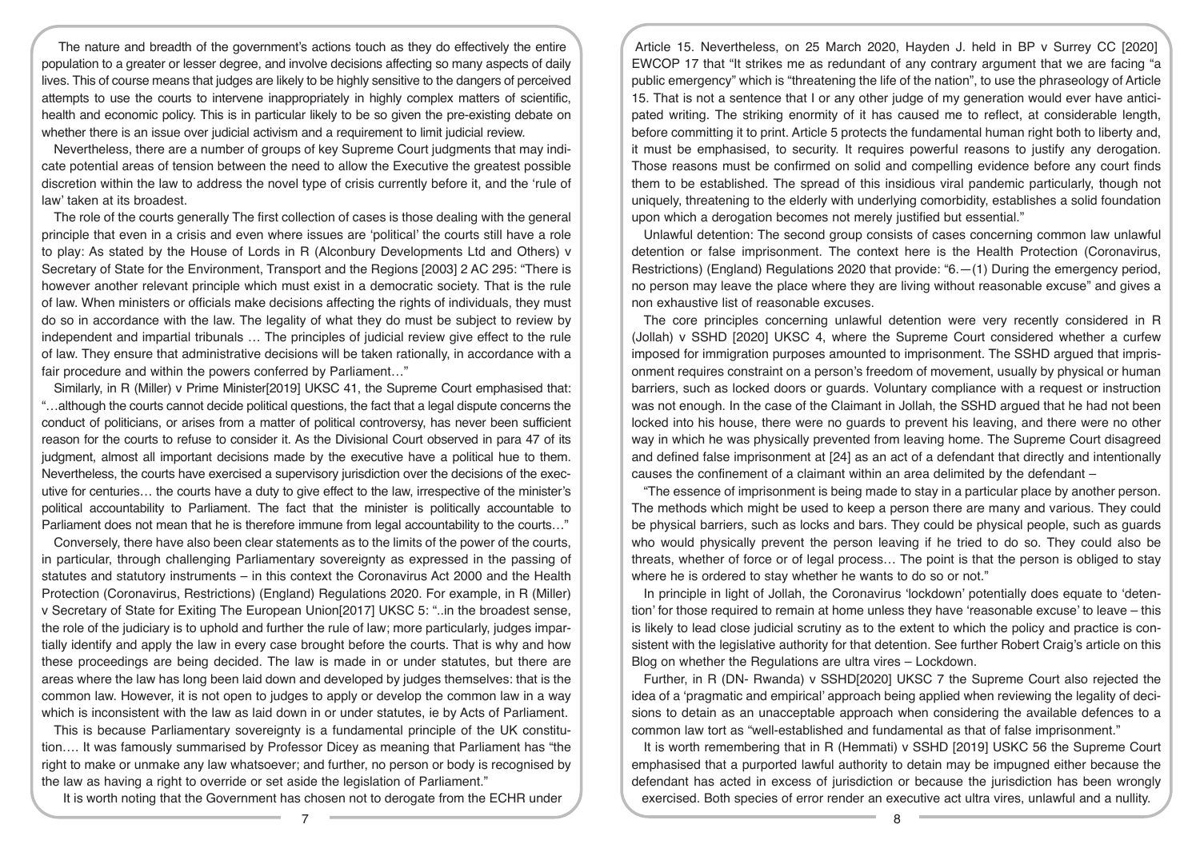The nature and breadth of the government's actions touch as they do effectively the entire population to a greater or lesser degree, and involve decisions affecting so many aspects of daily lives. This of course means that judges are likely to be highly sensitive to the dangers of perceived attempts to use the courts to intervene inappropriately in highly complex matters of scientific, health and economic policy. This is in particular likely to be so given the pre-existing debate on whether there is an issue over judicial activism and a requirement to limit judicial review.

Nevertheless, there are a number of groups of key Supreme Court judgments that may indicate potential areas of tension between the need to allow the Executive the greatest possible discretion within the law to address the novel type of crisis currently before it, and the 'rule of law' taken at its broadest.

The role of the courts generally The first collection of cases is those dealing with the general principle that even in a crisis and even where issues are 'political' the courts still have a role to play: As stated by the House of Lords in R (Alconbury Developments Ltd and Others) v Secretary of State for the Environment, Transport and the Regions [2003] 2 AC 295: "There is however another relevant principle which must exist in a democratic society. That is the rule of law. When ministers or officials make decisions affecting the rights of individuals, they must do so in accordance with the law. The legality of what they do must be subject to review by independent and impartial tribunals … The principles of judicial review give effect to the rule of law. They ensure that administrative decisions will be taken rationally, in accordance with a fair procedure and within the powers conferred by Parliament..."

Similarly, in R (Miller) v Prime Minister[2019] UKSC 41, the Supreme Court emphasised that: "…although the courts cannot decide political questions, the fact that a legal dispute concerns the conduct of politicians, or arises from a matter of political controversy, has never been sufficient reason for the courts to refuse to consider it. As the Divisional Court observed in para 47 of its judgment, almost all important decisions made by the executive have a political hue to them. Nevertheless, the courts have exercised a supervisory jurisdiction over the decisions of the executive for centuries… the courts have a duty to give effect to the law, irrespective of the minister's political accountability to Parliament. The fact that the minister is politically accountable to Parliament does not mean that he is therefore immune from legal accountability to the courts…"

Conversely, there have also been clear statements as to the limits of the power of the courts, in particular, through challenging Parliamentary sovereignty as expressed in the passing of statutes and statutory instruments – in this context the Coronavirus Act 2000 and the Health Protection (Coronavirus, Restrictions) (England) Regulations 2020. For example, in R (Miller) v Secretary of State for Exiting The European Union[2017] UKSC 5: "..in the broadest sense, the role of the judiciary is to uphold and further the rule of law; more particularly, judges impartially identify and apply the law in every case brought before the courts. That is why and how these proceedings are being decided. The law is made in or under statutes, but there are areas where the law has long been laid down and developed by judges themselves: that is the common law. However, it is not open to judges to apply or develop the common law in a way which is inconsistent with the law as laid down in or under statutes, ie by Acts of Parliament.

This is because Parliamentary sovereignty is a fundamental principle of the UK constitution…. It was famously summarised by Professor Dicey as meaning that Parliament has "the right to make or unmake any law whatsoever; and further, no person or body is recognised by the law as having a right to override or set aside the legislation of Parliament."

It is worth noting that the Government has chosen not to derogate from the ECHR under

Article 15. Nevertheless, on 25 March 2020, Hayden J. held in BP v Surrey CC [2020] EWCOP 17 that "It strikes me as redundant of any contrary argument that we are facing "a public emergency" which is "threatening the life of the nation", to use the phraseology of Article 15. That is not a sentence that I or any other judge of my generation would ever have anticipated writing. The striking enormity of it has caused me to reflect, at considerable length, before committing it to print. Article 5 protects the fundamental human right both to liberty and, it must be emphasised, to security. It requires powerful reasons to justify any derogation. Those reasons must be confirmed on solid and compelling evidence before any court finds them to be established. The spread of this insidious viral pandemic particularly, though not uniquely, threatening to the elderly with underlying comorbidity, establishes a solid foundation upon which a derogation becomes not merely justified but essential."

Unlawful detention: The second group consists of cases concerning common law unlawful detention or false imprisonment. The context here is the Health Protection (Coronavirus, Restrictions) (England) Regulations 2020 that provide: "6.—(1) During the emergency period, no person may leave the place where they are living without reasonable excuse" and gives a non exhaustive list of reasonable excuses.

The core principles concerning unlawful detention were very recently considered in R (Jollah) v SSHD [2020] UKSC 4, where the Supreme Court considered whether a curfew imposed for immigration purposes amounted to imprisonment. The SSHD argued that imprisonment requires constraint on a person's freedom of movement, usually by physical or human barriers, such as locked doors or guards. Voluntary compliance with a request or instruction was not enough. In the case of the Claimant in Jollah, the SSHD argued that he had not been locked into his house, there were no guards to prevent his leaving, and there were no other way in which he was physically prevented from leaving home. The Supreme Court disagreed and defined false imprisonment at [24] as an act of a defendant that directly and intentionally causes the confinement of a claimant within an area delimited by the defendant –

"The essence of imprisonment is being made to stay in a particular place by another person. The methods which might be used to keep a person there are many and various. They could be physical barriers, such as locks and bars. They could be physical people, such as guards who would physically prevent the person leaving if he tried to do so. They could also be threats, whether of force or of legal process… The point is that the person is obliged to stay where he is ordered to stay whether he wants to do so or not."

In principle in light of Jollah, the Coronavirus 'lockdown' potentially does equate to 'detention' for those required to remain at home unless they have 'reasonable excuse' to leave – this is likely to lead close judicial scrutiny as to the extent to which the policy and practice is consistent with the legislative authority for that detention. See further Robert Craig's article on this Blog on whether the Regulations are ultra vires – Lockdown.

Further, in R (DN- Rwanda) v SSHD[2020] UKSC 7 the Supreme Court also rejected the idea of a 'pragmatic and empirical' approach being applied when reviewing the legality of decisions to detain as an unacceptable approach when considering the available defences to a common law tort as "well-established and fundamental as that of false imprisonment."

It is worth remembering that in R (Hemmati) v SSHD [2019] USKC 56 the Supreme Court emphasised that a purported lawful authority to detain may be impugned either because the defendant has acted in excess of jurisdiction or because the jurisdiction has been wrongly exercised. Both species of error render an executive act ultra vires, unlawful and a nullity.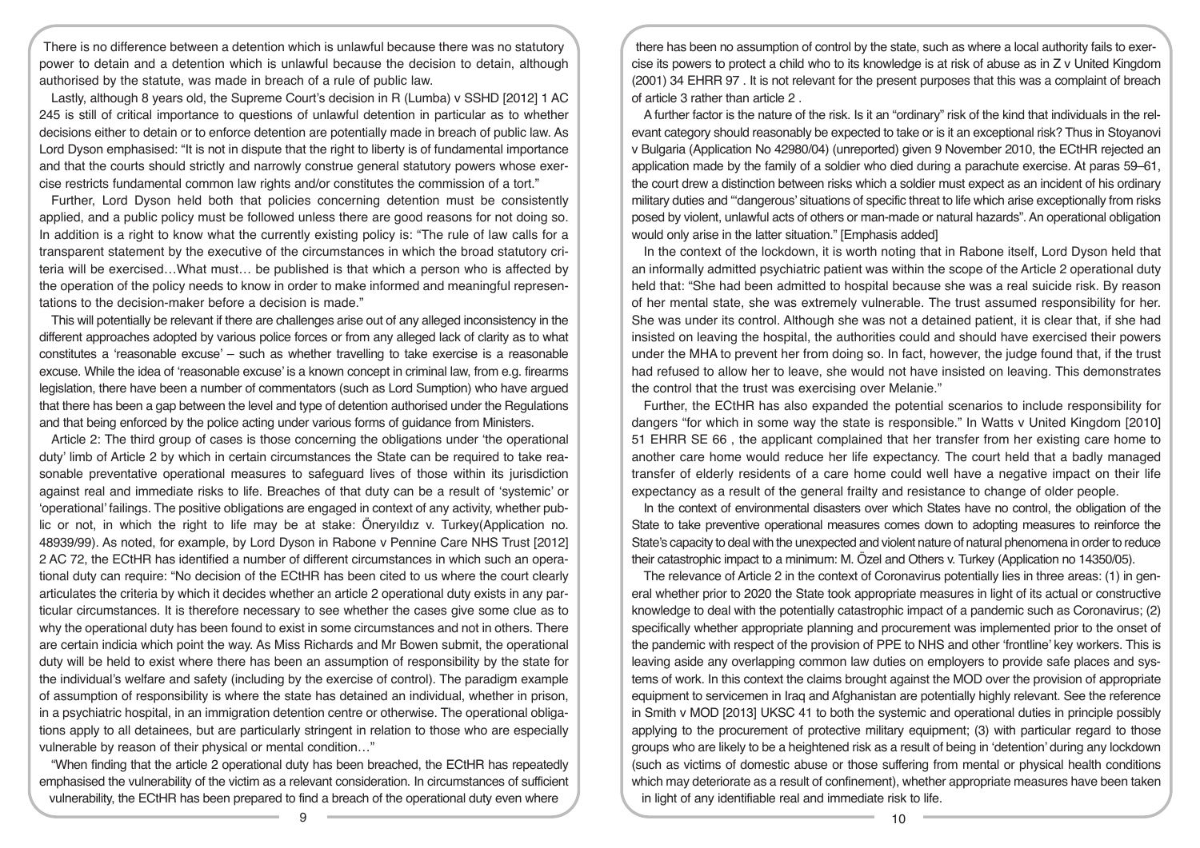There is no difference between a detention which is unlawful because there was no statutory power to detain and a detention which is unlawful because the decision to detain, although authorised by the statute, was made in breach of a rule of public law.

Lastly, although 8 years old, the Supreme Court's decision in R (Lumba) v SSHD [2012] 1 AC 245 is still of critical importance to questions of unlawful detention in particular as to whether decisions either to detain or to enforce detention are potentially made in breach of public law. As Lord Dyson emphasised: "It is not in dispute that the right to liberty is of fundamental importance and that the courts should strictly and narrowly construe general statutory powers whose exercise restricts fundamental common law rights and/or constitutes the commission of a tort."

Further, Lord Dyson held both that policies concerning detention must be consistently applied, and a public policy must be followed unless there are good reasons for not doing so. In addition is a right to know what the currently existing policy is: "The rule of law calls for a transparent statement by the executive of the circumstances in which the broad statutory criteria will be exercised…What must… be published is that which a person who is affected by the operation of the policy needs to know in order to make informed and meaningful representations to the decision-maker before a decision is made."

This will potentially be relevant if there are challenges arise out of any alleged inconsistency in the different approaches adopted by various police forces or from any alleged lack of clarity as to what constitutes a 'reasonable excuse' – such as whether travelling to take exercise is a reasonable excuse. While the idea of 'reasonable excuse' is a known concept in criminal law, from e.g. firearms legislation, there have been a number of commentators (such as Lord Sumption) who have argued that there has been a gap between the level and type of detention authorised under the Regulations and that being enforced by the police acting under various forms of guidance from Ministers.

Article 2: The third group of cases is those concerning the obligations under 'the operational duty' limb of Article 2 by which in certain circumstances the State can be required to take reasonable preventative operational measures to safeguard lives of those within its jurisdiction against real and immediate risks to life. Breaches of that duty can be a result of 'systemic' or 'operational' failings. The positive obligations are engaged in context of any activity, whether public or not, in which the right to life may be at stake: Öneryıldız v. Turkey(Application no. 48939/99). As noted, for example, by Lord Dyson in Rabone v Pennine Care NHS Trust [2012] 2 AC 72, the ECtHR has identified a number of different circumstances in which such an operational duty can require: "No decision of the ECtHR has been cited to us where the court clearly articulates the criteria by which it decides whether an article 2 operational duty exists in any particular circumstances. It is therefore necessary to see whether the cases give some clue as to why the operational duty has been found to exist in some circumstances and not in others. There are certain indicia which point the way. As Miss Richards and Mr Bowen submit, the operational duty will be held to exist where there has been an assumption of responsibility by the state for the individual's welfare and safety (including by the exercise of control). The paradigm example of assumption of responsibility is where the state has detained an individual, whether in prison, in a psychiatric hospital, in an immigration detention centre or otherwise. The operational obligations apply to all detainees, but are particularly stringent in relation to those who are especially vulnerable by reason of their physical or mental condition…"

"When finding that the article 2 operational duty has been breached, the ECtHR has repeatedly emphasised the vulnerability of the victim as a relevant consideration. In circumstances of sufficient vulnerability, the ECtHR has been prepared to find a breach of the operational duty even where

there has been no assumption of control by the state, such as where a local authority fails to exercise its powers to protect a child who to its knowledge is at risk of abuse as in Z v United Kingdom (2001) 34 EHRR 97 . It is not relevant for the present purposes that this was a complaint of breach of article 3 rather than article 2 .

A further factor is the nature of the risk. Is it an "ordinary" risk of the kind that individuals in the relevant category should reasonably be expected to take or is it an exceptional risk? Thus in Stoyanovi v Bulgaria (Application No 42980/04) (unreported) given 9 November 2010, the ECtHR rejected an application made by the family of a soldier who died during a parachute exercise. At paras 59–61, the court drew a distinction between risks which a soldier must expect as an incident of his ordinary military duties and "'dangerous' situations of specific threat to life which arise exceptionally from risks posed by violent, unlawful acts of others or man-made or natural hazards". An operational obligation would only arise in the latter situation." [Emphasis added]

In the context of the lockdown, it is worth noting that in Rabone itself, Lord Dyson held that an informally admitted psychiatric patient was within the scope of the Article 2 operational duty held that: "She had been admitted to hospital because she was a real suicide risk. By reason of her mental state, she was extremely vulnerable. The trust assumed responsibility for her. She was under its control. Although she was not a detained patient, it is clear that, if she had insisted on leaving the hospital, the authorities could and should have exercised their powers under the MHA to prevent her from doing so. In fact, however, the judge found that, if the trust had refused to allow her to leave, she would not have insisted on leaving. This demonstrates the control that the trust was exercising over Melanie."

Further, the ECtHR has also expanded the potential scenarios to include responsibility for dangers "for which in some way the state is responsible." In Watts v United Kingdom [2010] 51 EHRR SE 66 , the applicant complained that her transfer from her existing care home to another care home would reduce her life expectancy. The court held that a badly managed transfer of elderly residents of a care home could well have a negative impact on their life expectancy as a result of the general frailty and resistance to change of older people.

In the context of environmental disasters over which States have no control, the obligation of the State to take preventive operational measures comes down to adopting measures to reinforce the State's capacity to deal with the unexpected and violent nature of natural phenomena in order to reduce their catastrophic impact to a minimum: M. Özel and Others v. Turkey (Application no 14350/05).

The relevance of Article 2 in the context of Coronavirus potentially lies in three areas: (1) in general whether prior to 2020 the State took appropriate measures in light of its actual or constructive knowledge to deal with the potentially catastrophic impact of a pandemic such as Coronavirus; (2) specifically whether appropriate planning and procurement was implemented prior to the onset of the pandemic with respect of the provision of PPE to NHS and other 'frontline' key workers. This is leaving aside any overlapping common law duties on employers to provide safe places and systems of work. In this context the claims brought against the MOD over the provision of appropriate equipment to servicemen in Iraq and Afghanistan are potentially highly relevant. See the reference in Smith v MOD [2013] UKSC 41 to both the systemic and operational duties in principle possibly applying to the procurement of protective military equipment; (3) with particular regard to those groups who are likely to be a heightened risk as a result of being in 'detention' during any lockdown (such as victims of domestic abuse or those suffering from mental or physical health conditions which may deteriorate as a result of confinement), whether appropriate measures have been taken in light of any identifiable real and immediate risk to life.